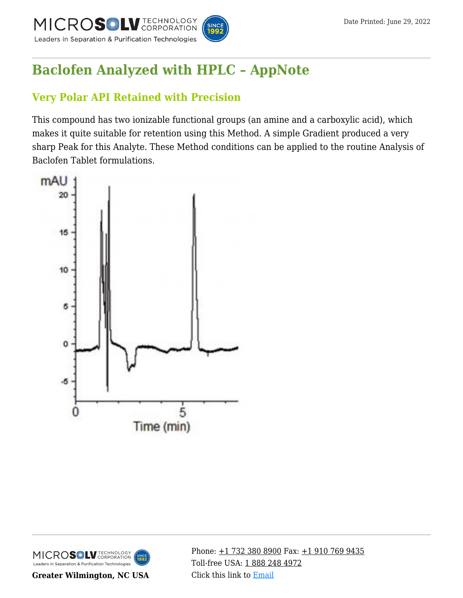

# **[Baclofen Analyzed with HPLC – AppNote](https://kb.mtc-usa.com/article/aa-02933/46/)**

## **Very Polar API Retained with Precision**

This compound has two ionizable functional groups (an amine and a carboxylic acid), which makes it quite suitable for retention using this Method. A simple Gradient produced a very sharp Peak for this Analyte. These Method conditions can be applied to the routine Analysis of Baclofen Tablet formulations.





**Greater Wilmington, NC USA**

Phone:  $\pm$ 1 732 380 8900 Fax:  $\pm$ 1 910 769 9435 Toll-free USA: [1 888 248 4972](#page--1-0) Click this link to [Email](https://www.mtc-usa.com/contact)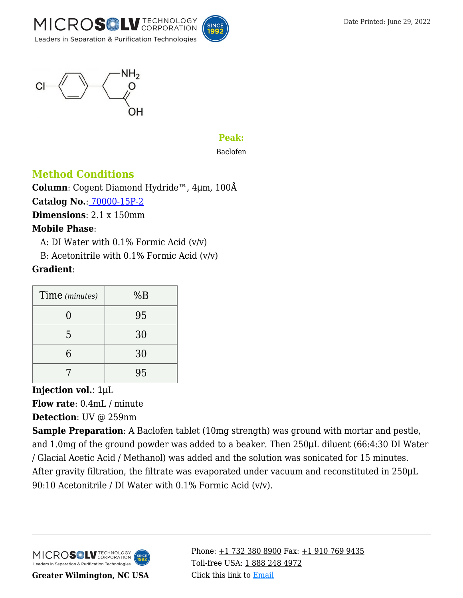



#### **Peak:**

Baclofen

## **Method Conditions**

**Column**: Cogent Diamond Hydride™, 4μm, 100Å **Catalog No.**[: 70000-15P-2](https://www.mtc-usa.com/product-details/id/4115801) **Dimensions**: 2.1 x 150mm

#### **Mobile Phase**:

A: DI Water with  $0.1\%$  Formic Acid  $(v/v)$ 

B: Acetonitrile with  $0.1\%$  Formic Acid (v/v)

#### **Gradient**:

| Time (minutes) | %B |
|----------------|----|
|                | 95 |
| 5              | 30 |
| 6              | 30 |
|                | 95 |

#### **Injection vol.**: 1μL

**Flow rate**: 0.4mL / minute

**Detection**: UV @ 259nm

**Sample Preparation**: A Baclofen tablet (10mg strength) was ground with mortar and pestle, and 1.0mg of the ground powder was added to a beaker. Then 250μL diluent (66:4:30 DI Water / Glacial Acetic Acid / Methanol) was added and the solution was sonicated for 15 minutes. After gravity filtration, the filtrate was evaporated under vacuum and reconstituted in 250 $\mu$ L 90:10 Acetonitrile / DI Water with 0.1% Formic Acid (v/v).



**Greater Wilmington, NC USA**

Phone:  $\pm$ 1 732 380 8900 Fax:  $\pm$ 1 910 769 9435 Toll-free USA: [1 888 248 4972](#page--1-0) Click this link to [Email](https://www.mtc-usa.com/contact)